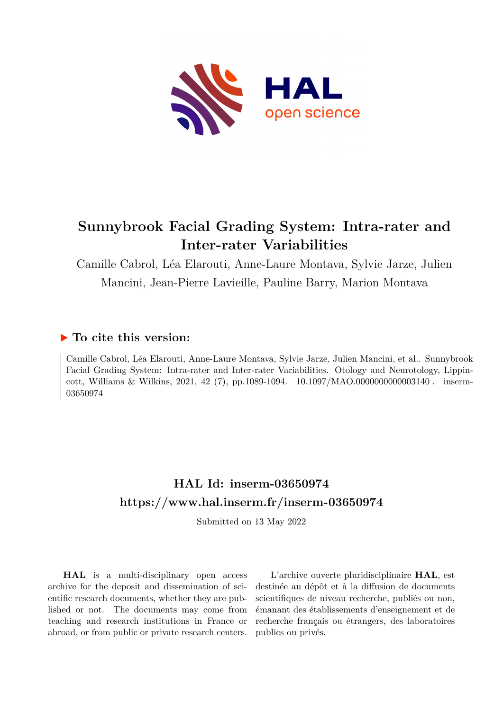

# **Sunnybrook Facial Grading System: Intra-rater and Inter-rater Variabilities**

Camille Cabrol, Léa Elarouti, Anne-Laure Montava, Sylvie Jarze, Julien Mancini, Jean-Pierre Lavieille, Pauline Barry, Marion Montava

## **To cite this version:**

Camille Cabrol, Léa Elarouti, Anne-Laure Montava, Sylvie Jarze, Julien Mancini, et al.. Sunnybrook Facial Grading System: Intra-rater and Inter-rater Variabilities. Otology and Neurotology, Lippincott, Williams & Wilkins, 2021, 42 (7), pp.1089-1094.  $10.1097/MAO.0000000000003140$ . inserm-03650974ff

## **HAL Id: inserm-03650974 <https://www.hal.inserm.fr/inserm-03650974>**

Submitted on 13 May 2022

**HAL** is a multi-disciplinary open access archive for the deposit and dissemination of scientific research documents, whether they are published or not. The documents may come from teaching and research institutions in France or abroad, or from public or private research centers.

L'archive ouverte pluridisciplinaire **HAL**, est destinée au dépôt et à la diffusion de documents scientifiques de niveau recherche, publiés ou non, émanant des établissements d'enseignement et de recherche français ou étrangers, des laboratoires publics ou privés.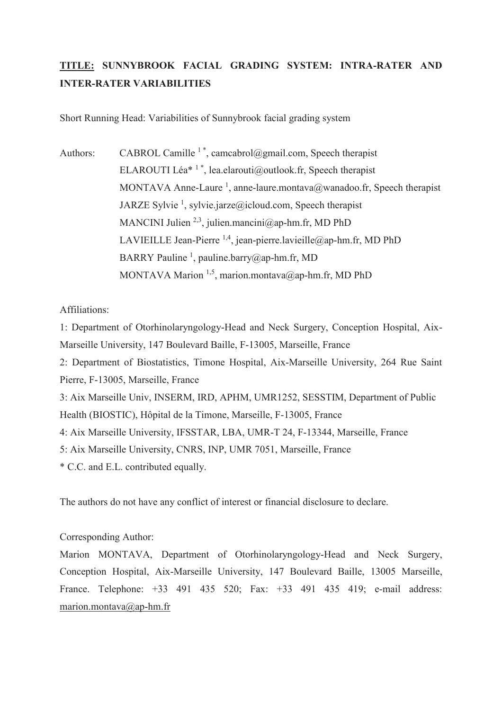## **TITLE: SUNNYBROOK FACIAL GRADING SYSTEM: INTRA-RATER AND INTER-RATER VARIABILITIES**

Short Running Head: Variabilities of Sunnybrook facial grading system

Authors: CABROL Camille  $1^*$ , camcabrol@gmail.com, Speech therapist ELAROUTI Léa<sup>\* 1</sup><sup>\*</sup>, lea.elarouti@outlook.fr, Speech therapist MONTAVA Anne-Laure<sup>1</sup>, anne-laure.montava@wanadoo.fr, Speech therapist JARZE Sylvie<sup>1</sup>, sylvie.jarze@icloud.com, Speech therapist MANCINI Julien <sup>2,3</sup>, julien.mancini@ap-hm.fr, MD PhD LAVIEILLE Jean-Pierre <sup>1,4</sup>, jean-pierre.lavieille@ap-hm.fr, MD PhD BARRY Pauline<sup>1</sup>, pauline.barry@ap-hm.fr, MD MONTAVA Marion  $1.5$ , marion.montava@ap-hm.fr, MD PhD

Affiliations:

1: Department of Otorhinolaryngology-Head and Neck Surgery, Conception Hospital, Aix-Marseille University, 147 Boulevard Baille, F-13005, Marseille, France

2: Department of Biostatistics, Timone Hospital, Aix-Marseille University, 264 Rue Saint Pierre, F-13005, Marseille, France

3: Aix Marseille Univ, INSERM, IRD, APHM, UMR1252, SESSTIM, Department of Public Health (BIOSTIC), Hôpital de la Timone, Marseille, F-13005, France

4: Aix Marseille University, IFSSTAR, LBA, UMR-T 24, F-13344, Marseille, France

5: Aix Marseille University, CNRS, INP, UMR 7051, Marseille, France

\* C.C. and E.L. contributed equally.

The authors do not have any conflict of interest or financial disclosure to declare.

#### Corresponding Author:

Marion MONTAVA, Department of Otorhinolaryngology-Head and Neck Surgery, Conception Hospital, Aix-Marseille University, 147 Boulevard Baille, 13005 Marseille, France. Telephone: +33 491 435 520; Fax: +33 491 435 419; e-mail address: marion.montava@ap-hm.fr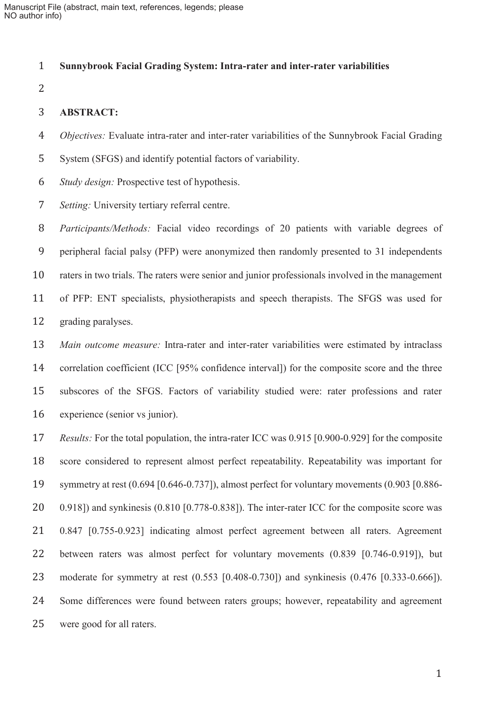#### **Sunnybrook Facial Grading System: Intra-rater and inter-rater variabilities**

#### **ABSTRACT:**

- *Objectives:* Evaluate intra-rater and inter-rater variabilities of the Sunnybrook Facial Grading
- System (SFGS) and identify potential factors of variability.
- *Study design:* Prospective test of hypothesis.
- *Setting:* University tertiary referral centre.

*Participants/Methods:* Facial video recordings of 20 patients with variable degrees of peripheral facial palsy (PFP) were anonymized then randomly presented to 31 independents raters in two trials. The raters were senior and junior professionals involved in the management of PFP: ENT specialists, physiotherapists and speech therapists. The SFGS was used for grading paralyses.

*Main outcome measure:* Intra-rater and inter-rater variabilities were estimated by intraclass 14 correlation coefficient (ICC [95% confidence interval]) for the composite score and the three subscores of the SFGS. Factors of variability studied were: rater professions and rater experience (senior vs junior).

*Results:* For the total population, the intra-rater ICC was 0.915 [0.900-0.929] for the composite score considered to represent almost perfect repeatability. Repeatability was important for symmetry at rest (0.694 [0.646-0.737]), almost perfect for voluntary movements (0.903 [0.886- 0.918]) and synkinesis (0.810 [0.778-0.838]). The inter-rater ICC for the composite score was 0.847 [0.755-0.923] indicating almost perfect agreement between all raters. Agreement between raters was almost perfect for voluntary movements (0.839 [0.746-0.919]), but moderate for symmetry at rest (0.553 [0.408-0.730]) and synkinesis (0.476 [0.333-0.666]). Some differences were found between raters groups; however, repeatability and agreement were good for all raters.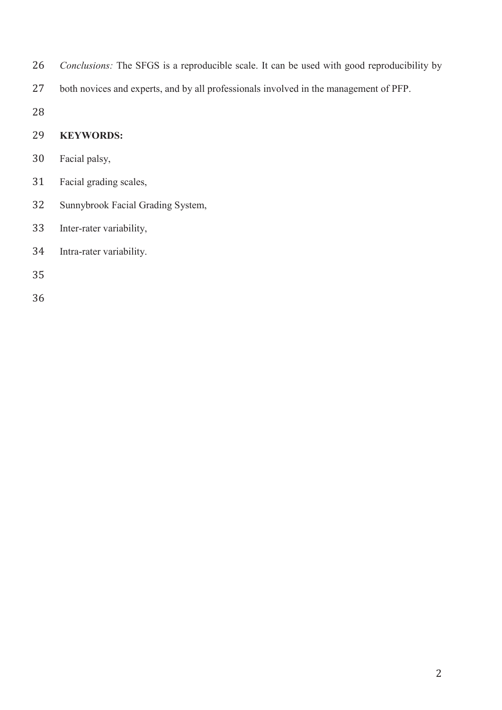- *Conclusions:* The SFGS is a reproducible scale. It can be used with good reproducibility by
- both novices and experts, and by all professionals involved in the management of PFP.

### **KEYWORDS:**

- Facial palsy,
- Facial grading scales,
- Sunnybrook Facial Grading System,
- Inter-rater variability,
- Intra-rater variability.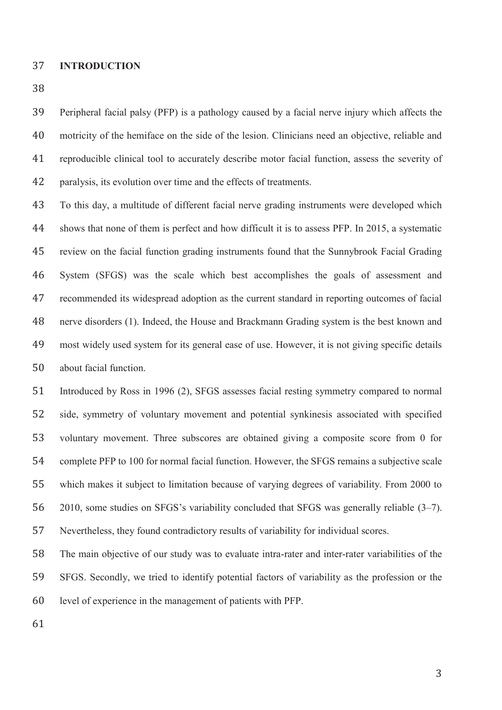#### **INTRODUCTION**

Peripheral facial palsy (PFP) is a pathology caused by a facial nerve injury which affects the motricity of the hemiface on the side of the lesion. Clinicians need an objective, reliable and reproducible clinical tool to accurately describe motor facial function, assess the severity of paralysis, its evolution over time and the effects of treatments.

To this day, a multitude of different facial nerve grading instruments were developed which shows that none of them is perfect and how difficult it is to assess PFP. In 2015, a systematic review on the facial function grading instruments found that the Sunnybrook Facial Grading System (SFGS) was the scale which best accomplishes the goals of assessment and recommended its widespread adoption as the current standard in reporting outcomes of facial nerve disorders (1). Indeed, the House and Brackmann Grading system is the best known and most widely used system for its general ease of use. However, it is not giving specific details about facial function.

Introduced by Ross in 1996 (2), SFGS assesses facial resting symmetry compared to normal side, symmetry of voluntary movement and potential synkinesis associated with specified voluntary movement. Three subscores are obtained giving a composite score from 0 for complete PFP to 100 for normal facial function. However, the SFGS remains a subjective scale which makes it subject to limitation because of varying degrees of variability. From 2000 to 2010, some studies on SFGS's variability concluded that SFGS was generally reliable (3–7). Nevertheless, they found contradictory results of variability for individual scores.

The main objective of our study was to evaluate intra-rater and inter-rater variabilities of the SFGS. Secondly, we tried to identify potential factors of variability as the profession or the level of experience in the management of patients with PFP.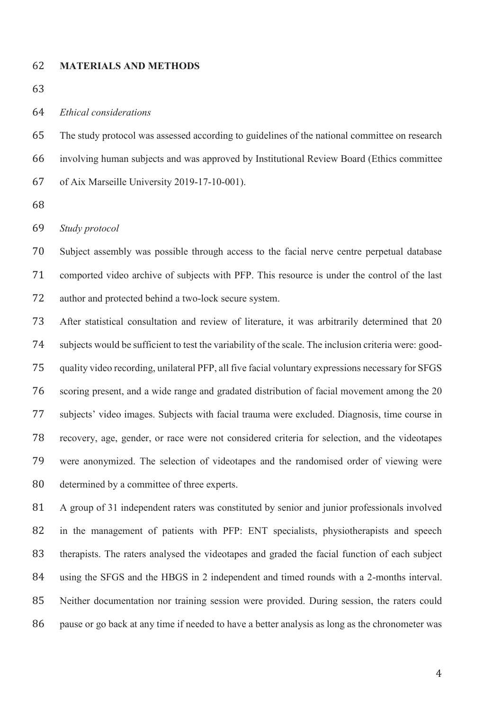#### **MATERIALS AND METHODS**

*Ethical considerations* 

The study protocol was assessed according to guidelines of the national committee on research involving human subjects and was approved by Institutional Review Board (Ethics committee of Aix Marseille University 2019-17-10-001).

*Study protocol* 

Subject assembly was possible through access to the facial nerve centre perpetual database comported video archive of subjects with PFP. This resource is under the control of the last author and protected behind a two-lock secure system.

After statistical consultation and review of literature, it was arbitrarily determined that 20 subjects would be sufficient to test the variability of the scale. The inclusion criteria were: good-quality video recording, unilateral PFP, all five facial voluntary expressions necessary for SFGS scoring present, and a wide range and gradated distribution of facial movement among the 20 subjects' video images. Subjects with facial trauma were excluded. Diagnosis, time course in recovery, age, gender, or race were not considered criteria for selection, and the videotapes were anonymized. The selection of videotapes and the randomised order of viewing were determined by a committee of three experts.

A group of 31 independent raters was constituted by senior and junior professionals involved in the management of patients with PFP: ENT specialists, physiotherapists and speech therapists. The raters analysed the videotapes and graded the facial function of each subject using the SFGS and the HBGS in 2 independent and timed rounds with a 2-months interval. Neither documentation nor training session were provided. During session, the raters could pause or go back at any time if needed to have a better analysis as long as the chronometer was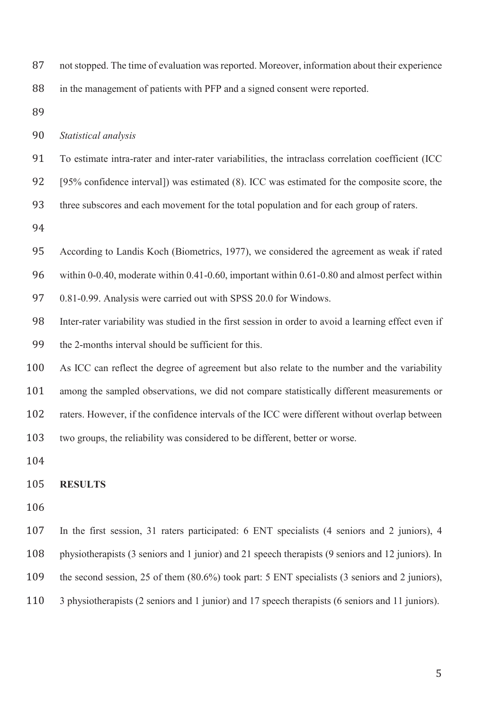| 87 | not stopped. The time of evaluation was reported. Moreover, information about their experience |
|----|------------------------------------------------------------------------------------------------|
|    | 88 in the management of patients with PFP and a signed consent were reported.                  |

*Statistical analysis* 

To estimate intra-rater and inter-rater variabilities, the intraclass correlation coefficient (ICC

[95% confidence interval]) was estimated (8). ICC was estimated for the composite score, the

three subscores and each movement for the total population and for each group of raters.

According to Landis Koch (Biometrics, 1977), we considered the agreement as weak if rated

within 0-0.40, moderate within 0.41-0.60, important within 0.61-0.80 and almost perfect within

0.81-0.99. Analysis were carried out with SPSS 20.0 for Windows.

- Inter-rater variability was studied in the first session in order to avoid a learning effect even if the 2-months interval should be sufficient for this.
- As ICC can reflect the degree of agreement but also relate to the number and the variability among the sampled observations, we did not compare statistically different measurements or raters. However, if the confidence intervals of the ICC were different without overlap between two groups, the reliability was considered to be different, better or worse.

#### **RESULTS**

- 
- In the first session, 31 raters participated: 6 ENT specialists (4 seniors and 2 juniors), 4 physiotherapists (3 seniors and 1 junior) and 21 speech therapists (9 seniors and 12 juniors). In
- the second session, 25 of them (80.6%) took part: 5 ENT specialists (3 seniors and 2 juniors),
- 3 physiotherapists (2 seniors and 1 junior) and 17 speech therapists (6 seniors and 11 juniors).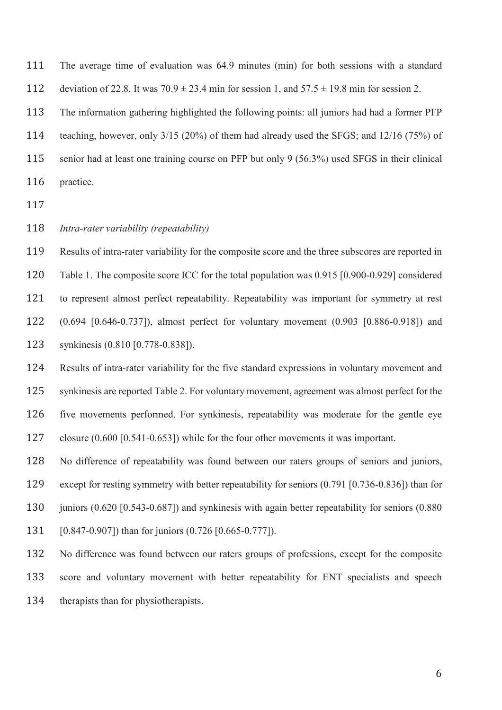The average time of evaluation was 64.9 minutes (min) for both sessions with a standard 112 deviation of 22.8. It was  $70.9 \pm 23.4$  min for session 1, and  $57.5 \pm 19.8$  min for session 2.

The information gathering highlighted the following points: all juniors had had a former PFP

teaching, however, only 3/15 (20%) of them had already used the SFGS; and 12/16 (75%) of

senior had at least one training course on PFP but only 9 (56.3%) used SFGS in their clinical practice.

- 
- *Intra-rater variability (repeatability)*

Results of intra-rater variability for the composite score and the three subscores are reported in Table 1. The composite score ICC for the total population was 0.915 [0.900-0.929] considered to represent almost perfect repeatability. Repeatability was important for symmetry at rest (0.694 [0.646-0.737]), almost perfect for voluntary movement (0.903 [0.886-0.918]) and synkinesis (0.810 [0.778-0.838]).

Results of intra-rater variability for the five standard expressions in voluntary movement and synkinesis are reported Table 2. For voluntary movement, agreement was almost perfect for the five movements performed. For synkinesis, repeatability was moderate for the gentle eye closure (0.600 [0.541-0.653]) while for the four other movements it was important.

No difference of repeatability was found between our raters groups of seniors and juniors, except for resting symmetry with better repeatability for seniors (0.791 [0.736-0.836]) than for 130 juniors (0.620 [0.543-0.687]) and synkinesis with again better repeatability for seniors (0.880 [0.847-0.907]) than for juniors (0.726 [0.665-0.777]).

No difference was found between our raters groups of professions, except for the composite score and voluntary movement with better repeatability for ENT specialists and speech therapists than for physiotherapists.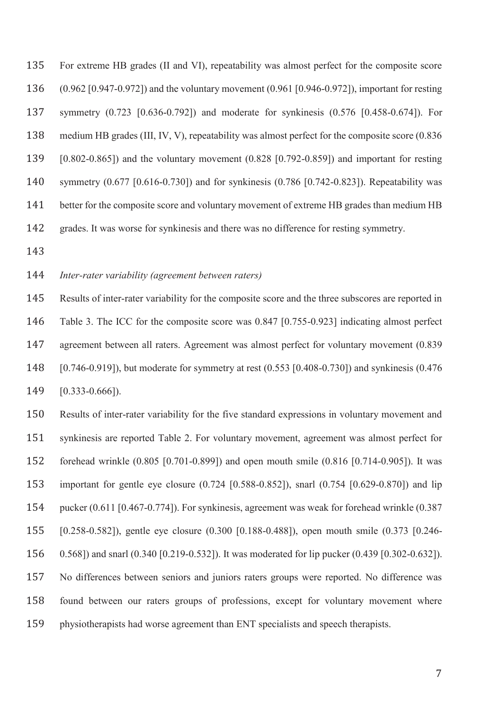For extreme HB grades (II and VI), repeatability was almost perfect for the composite score (0.962 [0.947-0.972]) and the voluntary movement (0.961 [0.946-0.972]), important for resting symmetry (0.723 [0.636-0.792]) and moderate for synkinesis (0.576 [0.458-0.674]). For medium HB grades (III, IV, V), repeatability was almost perfect for the composite score (0.836 [0.802-0.865]) and the voluntary movement (0.828 [0.792-0.859]) and important for resting symmetry (0.677 [0.616-0.730]) and for synkinesis (0.786 [0.742-0.823]). Repeatability was 141 better for the composite score and voluntary movement of extreme HB grades than medium HB grades. It was worse for synkinesis and there was no difference for resting symmetry.

#### *Inter-rater variability (agreement between raters)*

Results of inter-rater variability for the composite score and the three subscores are reported in Table 3. The ICC for the composite score was 0.847 [0.755-0.923] indicating almost perfect agreement between all raters. Agreement was almost perfect for voluntary movement (0.839 [0.746-0.919]), but moderate for symmetry at rest (0.553 [0.408-0.730]) and synkinesis (0.476 [0.333-0.666]).

Results of inter-rater variability for the five standard expressions in voluntary movement and synkinesis are reported Table 2. For voluntary movement, agreement was almost perfect for forehead wrinkle (0.805 [0.701-0.899]) and open mouth smile (0.816 [0.714-0.905]). It was important for gentle eye closure (0.724 [0.588-0.852]), snarl (0.754 [0.629-0.870]) and lip pucker (0.611 [0.467-0.774]). For synkinesis, agreement was weak for forehead wrinkle (0.387 [0.258-0.582]), gentle eye closure (0.300 [0.188-0.488]), open mouth smile (0.373 [0.246- 0.568]) and snarl (0.340 [0.219-0.532]). It was moderated for lip pucker (0.439 [0.302-0.632]). No differences between seniors and juniors raters groups were reported. No difference was found between our raters groups of professions, except for voluntary movement where physiotherapists had worse agreement than ENT specialists and speech therapists.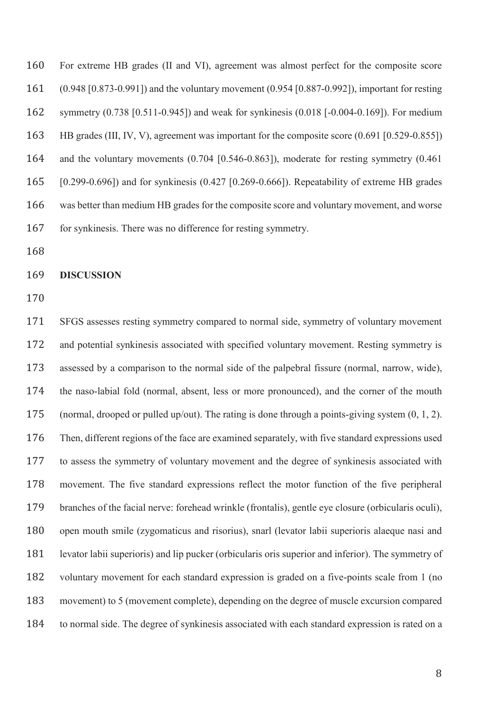For extreme HB grades (II and VI), agreement was almost perfect for the composite score (0.948 [0.873-0.991]) and the voluntary movement (0.954 [0.887-0.992]), important for resting symmetry (0.738 [0.511-0.945]) and weak for synkinesis (0.018 [-0.004-0.169]). For medium HB grades (III, IV, V), agreement was important for the composite score (0.691 [0.529-0.855]) and the voluntary movements (0.704 [0.546-0.863]), moderate for resting symmetry (0.461 [0.299-0.696]) and for synkinesis (0.427 [0.269-0.666]). Repeatability of extreme HB grades was better than medium HB grades for the composite score and voluntary movement, and worse 167 for synkinesis. There was no difference for resting symmetry.

#### **DISCUSSION**

SFGS assesses resting symmetry compared to normal side, symmetry of voluntary movement and potential synkinesis associated with specified voluntary movement. Resting symmetry is assessed by a comparison to the normal side of the palpebral fissure (normal, narrow, wide), the naso-labial fold (normal, absent, less or more pronounced), and the corner of the mouth (normal, drooped or pulled up/out). The rating is done through a points-giving system (0, 1, 2). Then, different regions of the face are examined separately, with five standard expressions used to assess the symmetry of voluntary movement and the degree of synkinesis associated with movement. The five standard expressions reflect the motor function of the five peripheral branches of the facial nerve: forehead wrinkle (frontalis), gentle eye closure (orbicularis oculi), open mouth smile (zygomaticus and risorius), snarl (levator labii superioris alaeque nasi and levator labii superioris) and lip pucker (orbicularis oris superior and inferior). The symmetry of voluntary movement for each standard expression is graded on a five-points scale from 1 (no movement) to 5 (movement complete), depending on the degree of muscle excursion compared to normal side. The degree of synkinesis associated with each standard expression is rated on a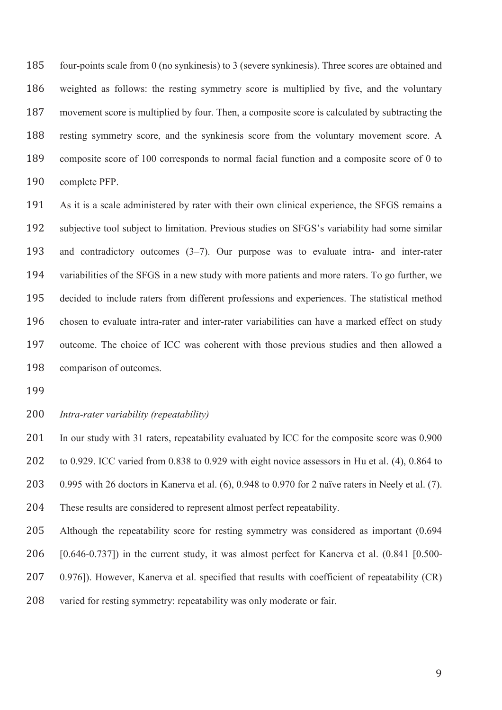four-points scale from 0 (no synkinesis) to 3 (severe synkinesis). Three scores are obtained and weighted as follows: the resting symmetry score is multiplied by five, and the voluntary movement score is multiplied by four. Then, a composite score is calculated by subtracting the resting symmetry score, and the synkinesis score from the voluntary movement score. A composite score of 100 corresponds to normal facial function and a composite score of 0 to complete PFP.

As it is a scale administered by rater with their own clinical experience, the SFGS remains a subjective tool subject to limitation. Previous studies on SFGS's variability had some similar and contradictory outcomes (3–7). Our purpose was to evaluate intra- and inter-rater variabilities of the SFGS in a new study with more patients and more raters. To go further, we decided to include raters from different professions and experiences. The statistical method chosen to evaluate intra-rater and inter-rater variabilities can have a marked effect on study outcome. The choice of ICC was coherent with those previous studies and then allowed a comparison of outcomes.

### *Intra-rater variability (repeatability)*

201 In our study with 31 raters, repeatability evaluated by ICC for the composite score was 0.900 to 0.929. ICC varied from 0.838 to 0.929 with eight novice assessors in Hu et al. (4), 0.864 to 0.995 with 26 doctors in Kanerva et al. (6), 0.948 to 0.970 for 2 naïve raters in Neely et al. (7). These results are considered to represent almost perfect repeatability.

Although the repeatability score for resting symmetry was considered as important (0.694 [0.646-0.737]) in the current study, it was almost perfect for Kanerva et al. (0.841 [0.500- 207 0.976]). However, Kanerva et al. specified that results with coefficient of repeatability (CR) varied for resting symmetry: repeatability was only moderate or fair.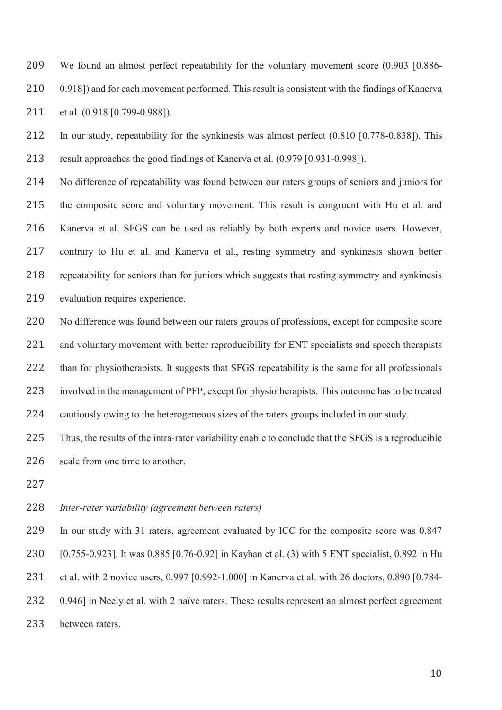We found an almost perfect repeatability for the voluntary movement score (0.903 [0.886- 210 0.918]) and for each movement performed. This result is consistent with the findings of Kanerva 211 et al. (0.918 [0.799-0.988]).

In our study, repeatability for the synkinesis was almost perfect (0.810 [0.778-0.838]). This result approaches the good findings of Kanerva et al. (0.979 [0.931-0.998]).

No difference of repeatability was found between our raters groups of seniors and juniors for the composite score and voluntary movement. This result is congruent with Hu et al. and Kanerva et al. SFGS can be used as reliably by both experts and novice users. However, contrary to Hu et al. and Kanerva et al., resting symmetry and synkinesis shown better repeatability for seniors than for juniors which suggests that resting symmetry and synkinesis 219 evaluation requires experience.

No difference was found between our raters groups of professions, except for composite score 221 and voluntary movement with better reproducibility for ENT specialists and speech therapists 222 than for physiotherapists. It suggests that SFGS repeatability is the same for all professionals involved in the management of PFP, except for physiotherapists. This outcome has to be treated cautiously owing to the heterogeneous sizes of the raters groups included in our study.

Thus, the results of the intra-rater variability enable to conclude that the SFGS is a reproducible 226 scale from one time to another.

#### *Inter-rater variability (agreement between raters)*

229 In our study with 31 raters, agreement evaluated by ICC for the composite score was 0.847 [0.755-0.923]. It was 0.885 [0.76-0.92] in Kayhan et al. (3) with 5 ENT specialist, 0.892 in Hu et al. with 2 novice users, 0.997 [0.992-1.000] in Kanerva et al. with 26 doctors, 0.890 [0.784- 0.946] in Neely et al. with 2 naïve raters. These results represent an almost perfect agreement between raters.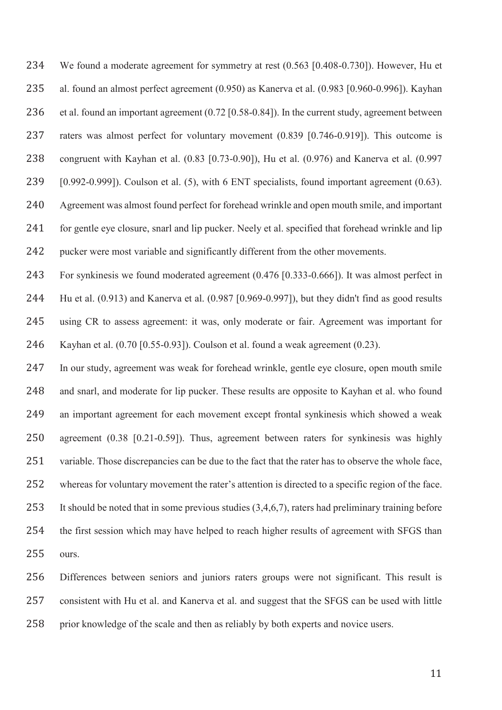We found a moderate agreement for symmetry at rest (0.563 [0.408-0.730]). However, Hu et al. found an almost perfect agreement (0.950) as Kanerva et al. (0.983 [0.960-0.996]). Kayhan et al. found an important agreement (0.72 [0.58-0.84]). In the current study, agreement between raters was almost perfect for voluntary movement (0.839 [0.746-0.919]). This outcome is congruent with Kayhan et al. (0.83 [0.73-0.90]), Hu et al. (0.976) and Kanerva et al. (0.997 [0.992-0.999]). Coulson et al. (5), with 6 ENT specialists, found important agreement (0.63). Agreement was almost found perfect for forehead wrinkle and open mouth smile, and important for gentle eye closure, snarl and lip pucker. Neely et al. specified that forehead wrinkle and lip pucker were most variable and significantly different from the other movements.

For synkinesis we found moderated agreement (0.476 [0.333-0.666]). It was almost perfect in Hu et al. (0.913) and Kanerva et al. (0.987 [0.969-0.997]), but they didn't find as good results using CR to assess agreement: it was, only moderate or fair. Agreement was important for Kayhan et al. (0.70 [0.55-0.93]). Coulson et al. found a weak agreement (0.23).

In our study, agreement was weak for forehead wrinkle, gentle eye closure, open mouth smile and snarl, and moderate for lip pucker. These results are opposite to Kayhan et al. who found an important agreement for each movement except frontal synkinesis which showed a weak agreement (0.38 [0.21-0.59]). Thus, agreement between raters for synkinesis was highly variable. Those discrepancies can be due to the fact that the rater has to observe the whole face, whereas for voluntary movement the rater's attention is directed to a specific region of the face. It should be noted that in some previous studies (3,4,6,7), raters had preliminary training before the first session which may have helped to reach higher results of agreement with SFGS than ours.

Differences between seniors and juniors raters groups were not significant. This result is consistent with Hu et al. and Kanerva et al. and suggest that the SFGS can be used with little prior knowledge of the scale and then as reliably by both experts and novice users.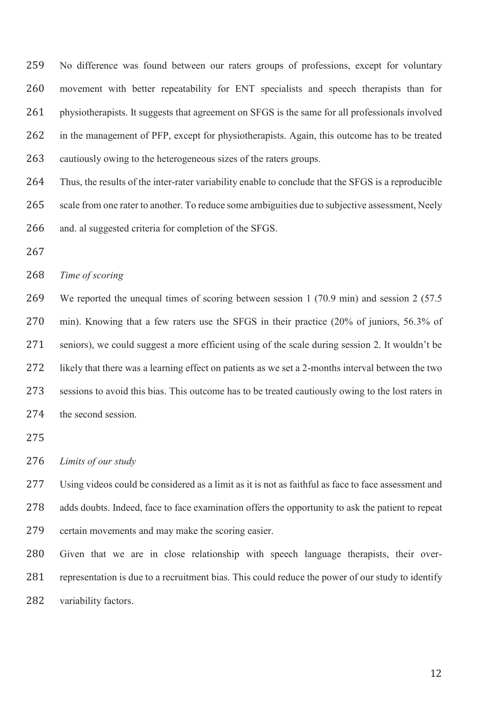No difference was found between our raters groups of professions, except for voluntary movement with better repeatability for ENT specialists and speech therapists than for physiotherapists. It suggests that agreement on SFGS is the same for all professionals involved in the management of PFP, except for physiotherapists. Again, this outcome has to be treated cautiously owing to the heterogeneous sizes of the raters groups.

Thus, the results of the inter-rater variability enable to conclude that the SFGS is a reproducible 265 scale from one rater to another. To reduce some ambiguities due to subjective assessment, Neely and. al suggested criteria for completion of the SFGS.

#### *Time of scoring*

We reported the unequal times of scoring between session 1 (70.9 min) and session 2 (57.5 min). Knowing that a few raters use the SFGS in their practice (20% of juniors, 56.3% of seniors), we could suggest a more efficient using of the scale during session 2. It wouldn't be likely that there was a learning effect on patients as we set a 2-months interval between the two sessions to avoid this bias. This outcome has to be treated cautiously owing to the lost raters in 274 the second session.

*Limits of our study* 

Using videos could be considered as a limit as it is not as faithful as face to face assessment and adds doubts. Indeed, face to face examination offers the opportunity to ask the patient to repeat certain movements and may make the scoring easier.

Given that we are in close relationship with speech language therapists, their over-representation is due to a recruitment bias. This could reduce the power of our study to identify 282 variability factors.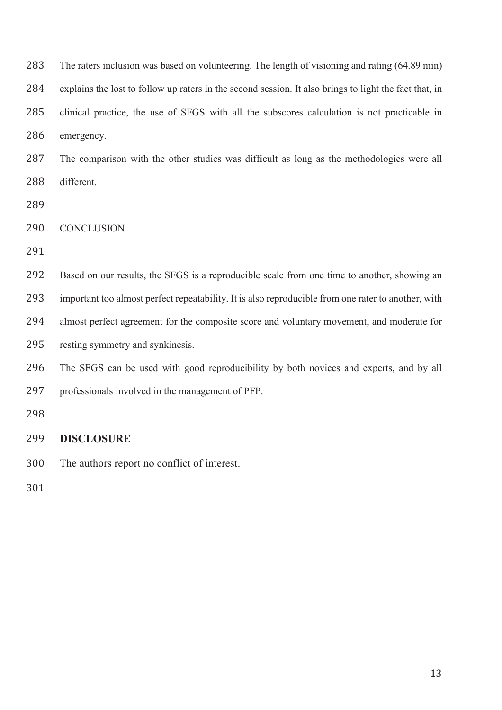| 283 | The raters inclusion was based on volunteering. The length of visioning and rating (64.89 min)         |
|-----|--------------------------------------------------------------------------------------------------------|
| 284 | explains the lost to follow up raters in the second session. It also brings to light the fact that, in |
| 285 | clinical practice, the use of SFGS with all the subscores calculation is not practicable in            |
| 286 | emergency.                                                                                             |
| 287 | The comparison with the other studies was difficult as long as the methodologies were all              |
| 288 | different.                                                                                             |
| 289 |                                                                                                        |
| 290 | <b>CONCLUSION</b>                                                                                      |
| 291 |                                                                                                        |
| 292 | Based on our results, the SFGS is a reproducible scale from one time to another, showing an            |
| 293 | important too almost perfect repeatability. It is also reproducible from one rater to another, with    |
| 294 | almost perfect agreement for the composite score and voluntary movement, and moderate for              |
| 295 | resting symmetry and synkinesis.                                                                       |
| 296 | The SFGS can be used with good reproducibility by both novices and experts, and by all                 |
| 297 | professionals involved in the management of PFP.                                                       |
| 298 |                                                                                                        |
| 299 | <b>DISCLOSURE</b>                                                                                      |
| 300 | The authors report no conflict of interest.                                                            |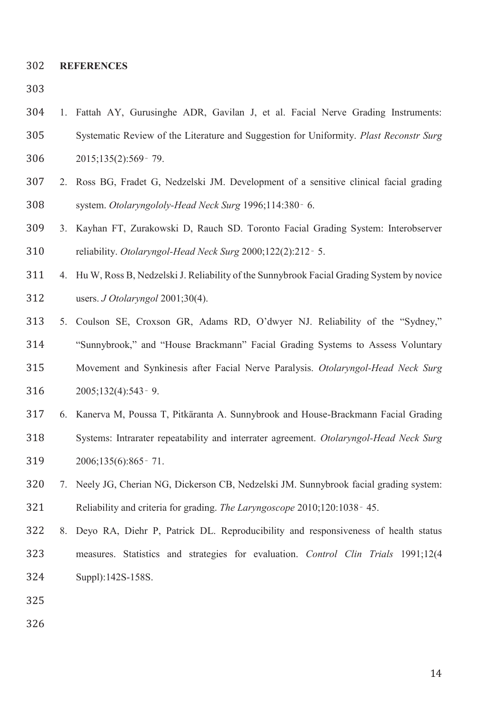**REFERENCES** 

- 
- 1. Fattah AY, Gurusinghe ADR, Gavilan J, et al. Facial Nerve Grading Instruments: Systematic Review of the Literature and Suggestion for Uniformity. *Plast Reconstr Surg* 306 2015;135(2):569 - 79.
- 2. Ross BG, Fradet G, Nedzelski JM. Development of a sensitive clinical facial grading system. *Otolaryngololy-Head Neck Surg* 1996;114:380̻ 6.
- 3. Kayhan FT, Zurakowski D, Rauch SD. Toronto Facial Grading System: Interobserver reliability. *Otolaryngol-Head Neck Surg* 2000;122(2):212̻ 5.
- 4. Hu W, Ross B, Nedzelski J. Reliability of the Sunnybrook Facial Grading System by novice users. *J Otolaryngol* 2001;30(4).
- 5. Coulson SE, Croxson GR, Adams RD, O'dwyer NJ. Reliability of the "Sydney," "Sunnybrook," and "House Brackmann" Facial Grading Systems to Assess Voluntary Movement and Synkinesis after Facial Nerve Paralysis. *Otolaryngol-Head Neck Surg* 316 2005;132(4):543 - 9.
- 6. Kanerva M, Poussa T, Pitkäranta A. Sunnybrook and House-Brackmann Facial Grading Systems: Intrarater repeatability and interrater agreement. *Otolaryngol-Head Neck Surg* 2006;135(6):865̻ 71.
- 7. Neely JG, Cherian NG, Dickerson CB, Nedzelski JM. Sunnybrook facial grading system: 321 Reliability and criteria for grading. *The Laryngoscope* 2010;120:1038 - 45.
- 8. Deyo RA, Diehr P, Patrick DL. Reproducibility and responsiveness of health status measures. Statistics and strategies for evaluation. *Control Clin Trials* 1991;12(4 Suppl):142S-158S.
- 
-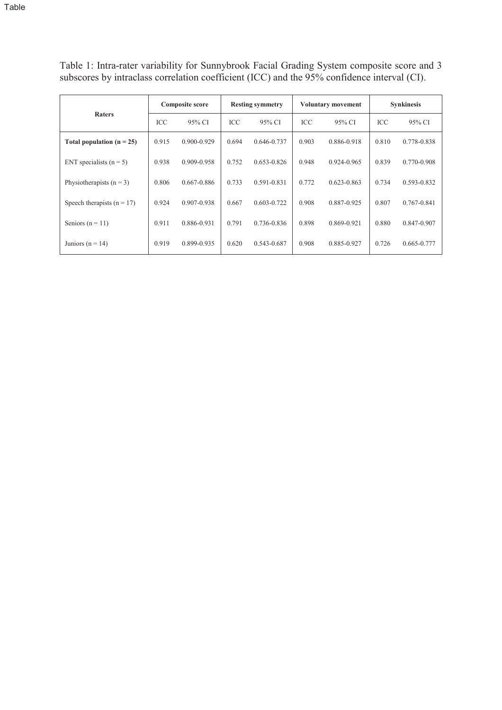Table 1: Intra-rater variability for Sunnybrook Facial Grading System composite score and 3 subscores by intraclass correlation coefficient (ICC) and the 95% confidence interval (CI).

|                              | <b>Composite score</b> |                 | <b>Resting symmetry</b> |                 | <b>Voluntary movement</b> |                 | <b>Synkinesis</b> |             |
|------------------------------|------------------------|-----------------|-------------------------|-----------------|---------------------------|-----------------|-------------------|-------------|
| <b>Raters</b>                | ICC                    | 95% CI          | ICC.                    | 95% CI          | ICC                       | 95% CI          | ICC               | 95% CI      |
| Total population $(n = 25)$  | 0.915                  | $0.900 - 0.929$ | 0.694                   | 0.646-0.737     | 0.903                     | 0.886-0.918     | 0.810             | 0.778-0.838 |
| ENT specialists $(n = 5)$    | 0.938                  | 0.909-0.958     | 0.752                   | $0.653 - 0.826$ | 0.948                     | $0.924 - 0.965$ | 0.839             | 0.770-0.908 |
| Physiotherapists $(n = 3)$   | 0.806                  | $0.667 - 0.886$ | 0.733                   | 0.591-0.831     | 0.772                     | $0.623 - 0.863$ | 0.734             | 0.593-0.832 |
| Speech therapists $(n = 17)$ | 0.924                  | 0.907-0.938     | 0.667                   | $0.603 - 0.722$ | 0.908                     | 0.887-0.925     | 0.807             | 0.767-0.841 |
| Seniors $(n = 11)$           | 0.911                  | 0.886-0.931     | 0.791                   | 0.736-0.836     | 0.898                     | 0.869-0.921     | 0.880             | 0.847-0.907 |
| Juniors ( $n = 14$ )         | 0.919                  | 0.899-0.935     | 0.620                   | 0.543-0.687     | 0.908                     | 0.885-0.927     | 0.726             | 0.665-0.777 |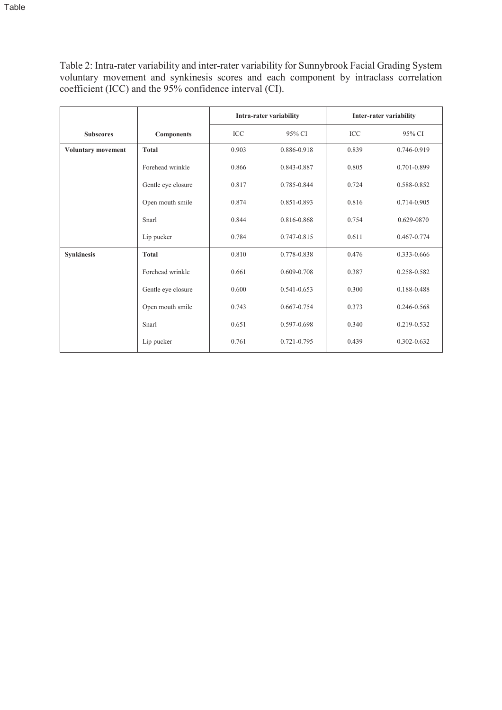coefficient (ICC) and the 95% confidence interval (CI).

|                           |                    |            | <b>Intra-rater variability</b> |            | <b>Inter-rater variability</b> |
|---------------------------|--------------------|------------|--------------------------------|------------|--------------------------------|
| <b>Subscores</b>          | <b>Components</b>  | <b>ICC</b> | 95% CI                         | <b>ICC</b> | 95% CI                         |
| <b>Voluntary movement</b> | <b>Total</b>       | 0.903      | 0.886-0.918                    | 0.839      | 0.746-0.919                    |
|                           | Forehead wrinkle   | 0.866      | 0.843-0.887                    | 0.805      | 0.701-0.899                    |
|                           | Gentle eye closure | 0.817      | 0.785-0.844                    | 0.724      | 0.588-0.852                    |
|                           | Open mouth smile   | 0.874      | 0.851-0.893                    | 0.816      | 0.714-0.905                    |
|                           | Snarl              | 0.844      | 0.816-0.868                    | 0.754      | 0.629-0870                     |
|                           | Lip pucker         | 0.784      | 0.747-0.815                    | 0.611      | 0.467-0.774                    |
| <b>Synkinesis</b>         | <b>Total</b>       | 0.810      | 0.778-0.838                    | 0.476      | 0.333-0.666                    |
|                           | Forehead wrinkle   | 0.661      | $0.609 - 0.708$                | 0.387      | 0.258-0.582                    |
|                           | Gentle eye closure | 0.600      | $0.541 - 0.653$                | 0.300      | 0.188-0.488                    |
|                           | Open mouth smile   | 0.743      | $0.667 - 0.754$                | 0.373      | 0.246-0.568                    |
|                           | Snarl              | 0.651      | 0.597-0.698                    | 0.340      | 0.219-0.532                    |
|                           | Lip pucker         | 0.761      | $0.721 - 0.795$                | 0.439      | $0.302 - 0.632$                |